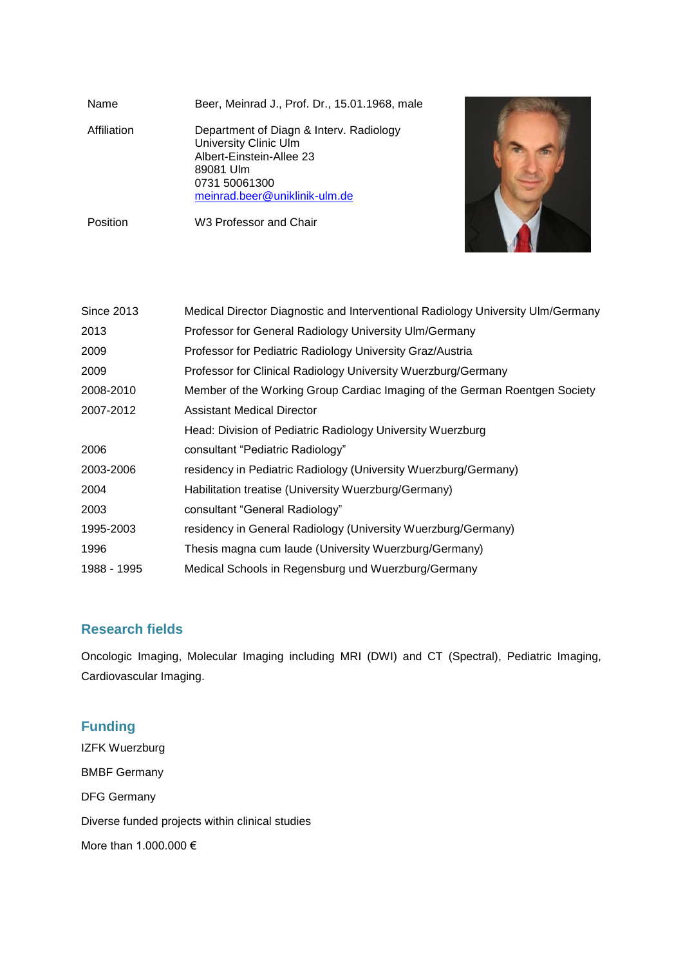| Name        | Beer, Meinrad J., Prof. Dr., 15.01.1968, male                                                                                                               |  |
|-------------|-------------------------------------------------------------------------------------------------------------------------------------------------------------|--|
| Affiliation | Department of Diagn & Interv. Radiology<br>University Clinic Ulm<br>Albert-Einstein-Allee 23<br>89081 Ulm<br>0731 50061300<br>meinrad.beer@uniklinik-ulm.de |  |
| Position    | W3 Professor and Chair                                                                                                                                      |  |

| Since 2013  | Medical Director Diagnostic and Interventional Radiology University Ulm/Germany |  |
|-------------|---------------------------------------------------------------------------------|--|
| 2013        | Professor for General Radiology University Ulm/Germany                          |  |
| 2009        | Professor for Pediatric Radiology University Graz/Austria                       |  |
| 2009        | Professor for Clinical Radiology University Wuerzburg/Germany                   |  |
| 2008-2010   | Member of the Working Group Cardiac Imaging of the German Roentgen Society      |  |
| 2007-2012   | <b>Assistant Medical Director</b>                                               |  |
|             | Head: Division of Pediatric Radiology University Wuerzburg                      |  |
| 2006        | consultant "Pediatric Radiology"                                                |  |
| 2003-2006   | residency in Pediatric Radiology (University Wuerzburg/Germany)                 |  |
| 2004        | Habilitation treatise (University Wuerzburg/Germany)                            |  |
| 2003        | consultant "General Radiology"                                                  |  |
| 1995-2003   | residency in General Radiology (University Wuerzburg/Germany)                   |  |
| 1996        | Thesis magna cum laude (University Wuerzburg/Germany)                           |  |
| 1988 - 1995 | Medical Schools in Regensburg und Wuerzburg/Germany                             |  |

## **Research fields**

Oncologic Imaging, Molecular Imaging including MRI (DWI) and CT (Spectral), Pediatric Imaging, Cardiovascular Imaging.

# **Funding**

IZFK Wuerzburg BMBF Germany DFG Germany Diverse funded projects within clinical studies More than 1.000.000 €